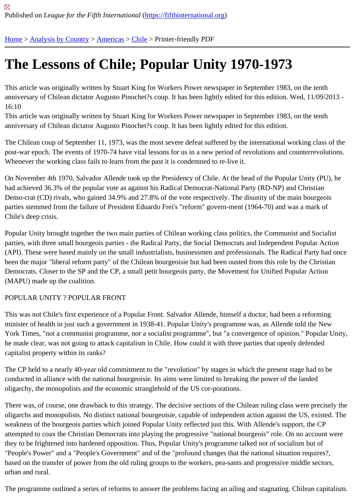# [The](https://fifthinternational.org/) [Lessons](https://fifthinternational.org/category/1) [of Ch](https://fifthinternational.org/category/1/56)il[e; P](https://fifthinternational.org/category/1/56/64)opular Unity 1970-1973

This article was originally written by Stuart King for Workers Power newspaper in September 1983, on the tenth anniversary of Chilean dictator Augusto Pinochet?s coup. It has been lightly edited for this edition. Wed, 11/09/201 16:10

This article was originally written by Stuart King for Workers Power newspaper in September 1983, on the tenth anniversary of Chilean dictator Augusto Pinochet?s coup. It has been lightly edited for this edition.

The Chilean coup of September 11, 1973, was the most severe defeat suffered by the international working class post-war epoch. The events of 1970-74 have vital lessons for us in a new period of revolutions and counterrevoluti Whenever the working class fails to learn from the past it is condemned to re-live it.

On November 4th 1970, Salvador Allende took up the Presidency of Chile. At the head of the Popular Unity (PU), had achieved 36.3% of the popular vote as against his Radical Democrat-National Party (RD-NP) and Christian Demo-crat (CD) rivals, who gained 34.9% and 27.8% of the vote respectively. The disunity of the main bourgeois parties stemmed from the failure of President Eduardo Frei's "reform" govern-ment (1964-70) and was a mark of Chile's deep crisis.

Popular Unity brought together the two main parties of Chilean working class politics, the Communist and Socialist parties, with three small bourgeois parties - the Radical Party, the Social Democrats and Independent Popular Act (API). These were based mainly on the small industrialists, businessmen and professionals. The Radical Party had been the major "liberal reform party" of the Chilean bourgeoisie but had been ousted from this role by the Christian Democrats. Closer to the SP and the CP, a small petit bourgeois party, the Movement for Unified Popular Action (MAPU) made up the coalition.

## POPULAR UNITY ? POPULAR FRONT

This was not Chile's first experience of a Popular Front. Salvador Allende, himself a doctor, had been a reforming minister of health in just such a government in 1938-41. Popular Unity's programme was, as Allende told the New York Times, "not a communist programme, nor a socialist programme", but "a convergence of opinion." Popular U he made clear, was not going to attack capitalism in Chile. How could it with three parties that openly defended capitalist property within its ranks?

The CP held to a nearly 40-year old commitment to the "revolution" by stages in which the present stage had to be conducted in alliance with the national bourgeoisie. Its aims were limited to breaking the power of the landed oligarchy, the monopolists and the economic stranglehold of the US cor-porations.

There was, of course, one drawback to this strategy. The decisive sections of the Chilean ruling class were precis oligarchs and monopolists. No distinct national bourgeoisie, capable of independent action against the US, existed weakness of the bourgeois parties which joined Popular Unity reflected just this. With Allende's support, the CP attempted to coax the Christian Democrats into playing the progressive "national bourgeois" role. On no account w they to be frightened into hardened opposition. Thus, Popular Unity's programme talked not of socialism but of "People's Power" and a "People's Government" and of the "profound changes that the national situation requires?, based on the transfer of power from the old ruling groups to the workers, pea-sants and progressive middle sector urban and rural.

The programme outlined a series of reforms to answer the problems facing an ailing and stagnating. Chilean capit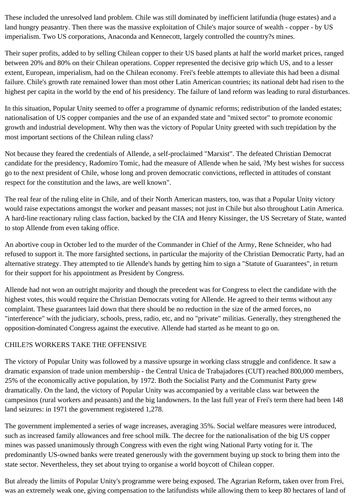These included the unresolved land problem. Chile was still dominated by inefficient latifundia (huge estates) and a land hungry peasantry. Then there was the massive exploitation of Chile's major source of wealth - copper - by US imperialism. Two US corporations, Anaconda and Kennecott, largely controlled the country?s mines.

Their super profits, added to by selling Chilean copper to their US based plants at half the world market prices, ranged between 20% and 80% on their Chilean operations. Copper represented the decisive grip which US, and to a lesser extent, European, imperialism, had on the Chilean economy. Frei's feeble attempts to alleviate this had been a dismal failure. Chile's growth rate remained lower than most other Latin American countries; its national debt had risen to the highest per capita in the world by the end of his presidency. The failure of land reform was leading to rural disturbances.

In this situation, Popular Unity seemed to offer a programme of dynamic reforms; redistribution of the landed estates; nationalisation of US copper companies and the use of an expanded state and "mixed sector" to promote economic growth and industrial development. Why then was the victory of Popular Unity greeted with such trepidation by the most important sections of the Chilean ruling class?

Not because they feared the credentials of Allende, a self-proclaimed "Marxist". The defeated Christian Democrat candidate for the presidency, Radomiro Tomic, had the measure of Allende when he said, ?My best wishes for success go to the next president of Chile, whose long and proven democratic convictions, reflected in attitudes of constant respect for the constitution and the laws, are well known".

The real fear of the ruling elite in Chile, and of their North American masters, too, was that a Popular Unity victory would raise expectations amongst the worker and peasant masses; not just in Chile but also throughout Latin America. A hard-line reactionary ruling class faction, backed by the CIA and Henry Kissinger, the US Secretary of State, wanted to stop Allende from even taking office.

An abortive coup in October led to the murder of the Commander in Chief of the Army, Rene Schneider, who had refused to support it. The more farsighted sections, in particular the majority of the Christian Democratic Party, had an alternative strategy. They attempted to tie Allende's hands by getting him to sign a "Statute of Guarantees", in return for their support for his appointment as President by Congress.

Allende had not won an outright majority and though the precedent was for Congress to elect the candidate with the highest votes, this would require the Christian Democrats voting for Allende. He agreed to their terms without any complaint. These guarantees laid down that there should be no reduction in the size of the armed forces, no "interference" with the judiciary, schools, press, radio, etc, and no "private" militias. Generally, they strengthened the opposition-dominated Congress against the executive. Allende had started as he meant to go on.

## CHILE?S WORKERS TAKE THE OFFENSIVE

The victory of Popular Unity was followed by a massive upsurge in working class struggle and confidence. It saw a dramatic expansion of trade union membership - the Central Unica de Trabajadores (CUT) reached 800,000 members, 25% of the economically active population, by 1972. Both the Socialist Party and the Communist Party grew dramatically. On the land, the victory of Popular Unity was accompanied by a veritable class war between the campesinos (rural workers and peasants) and the big landowners. In the last full year of Frei's term there had been 148 land seizures: in 1971 the government registered 1,278.

The government implemented a series of wage increases, averaging 35%. Social welfare measures were introduced, such as increased family allowances and free school milk. The decree for the nationalisation of the big US copper mines was passed unanimously through Congress with even the right wing National Party voting for it. The predominantly US-owned banks were treated generously with the government buying up stock to bring them into the state sector. Nevertheless, they set about trying to organise a world boycott of Chilean copper.

But already the limits of Popular Unity's programme were being exposed. The Agrarian Reform, taken over from Frei, was an extremely weak one, giving compensation to the latifundists while allowing them to keep 80 hectares of land of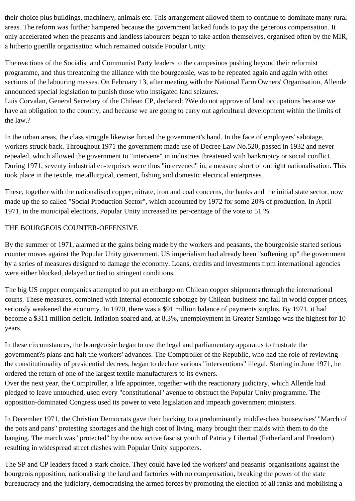their choice plus buildings, machinery, animals etc. This arrangement allowed them to continue to dominate many rural areas. The reform was further hampered because the government lacked funds to pay the generous compensation. It only accelerated when the peasants and landless labourers began to take action themselves, organised often by the MIR, a hitherto guerilla organisation which remained outside Popular Unity.

The reactions of the Socialist and Communist Party leaders to the campesinos pushing beyond their reformist programme, and thus threatening the alliance with the bourgeoisie, was to be repeated again and again with other sections of the labouring masses. On February 13, after meeting with the National Farm Owners' Organisation, Allende announced special legislation to punish those who instigated land seizures.

Luis Corvalan, General Secretary of the Chilean CP, declared: ?We do not approve of land occupations because we have an obligation to the country, and because we are going to carry out agricultural development within the limits of the law.?

In the urban areas, the class struggle likewise forced the government's hand. In the face of employers' sabotage, workers struck back. Throughout 1971 the government made use of Decree Law No.520, passed in 1932 and never repealed, which allowed the government to "intervene" in industries threatened with bankruptcy or social conflict. During 1971, seventy industrial en-terprises were thus "intervened" in, a measure short of outright nationalisation. This took place in the textile, metallurgical, cement, fishing and domestic electrical enterprises.

These, together with the nationalised copper, nitrate, iron and coal concerns, the banks and the initial state sector, now made up the so called "Social Production Sector", which accounted by 1972 for some 20% of production. In April 1971, in the municipal elections, Popular Unity increased its per-centage of the vote to 51 %.

### THE BOURGEOIS COUNTER-OFFENSIVE

By the summer of 1971, alarmed at the gains being made by the workers and peasants, the bourgeoisie started serious counter moves against the Popular Unity government. US imperialism had already been "softening up" the government by a series of measures designed to damage the economy. Loans, credits and investments from international agencies were either blocked, delayed or tied to stringent conditions.

The big US copper companies attempted to put an embargo on Chilean copper shipments through the international courts. These measures, combined with internal economic sabotage by Chilean business and fall in world copper prices, seriously weakened the economy. In 1970, there was a \$91 million balance of payments surplus. By 1971, it had become a \$311 million deficit. Inflation soared and, at 8.3%, unemployment in Greater Santiago was the highest for 10 years.

In these circumstances, the bourgeoisie began to use the legal and parliamentary apparatus to frustrate the government?s plans and halt the workers' advances. The Comptroller of the Republic, who had the role of reviewing the constitutionality of presidential decrees, began to declare various "interventions" illegal. Starting in June 1971, he ordered the return of one of the largest textile manufacturers to its owners.

Over the next year, the Comptroller, a life appointee, together with the reactionary judiciary, which Allende had pledged to leave untouched, used every "constitutional" avenue to obstruct the Popular Unity programme. The opposition-dominated Congress used its power to veto legislation and impeach government ministers.

In December 1971, the Christian Democrats gave their backing to a predominantly middle-class housewives' "March of the pots and pans" protesting shortages and the high cost of living, many brought their maids with them to do the banging. The march was "protected" by the now active fascist youth of Patria y Libertad (Fatherland and Freedom) resulting in widespread street clashes with Popular Unity supporters.

The SP and CP leaders faced a stark choice. They could have led the workers' and peasants' organisations against the bourgeois opposition, nationalising the land and factories with no compensation, breaking the power of the state bureaucracy and the judiciary, democratising the armed forces by promoting the election of all ranks and mobilising a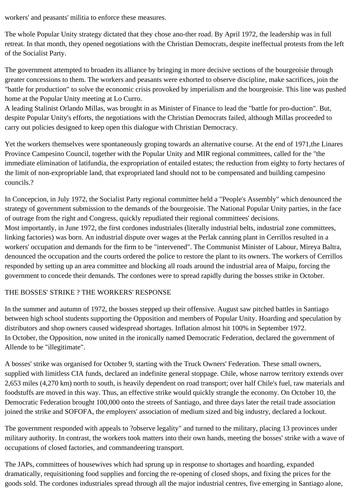workers' and peasants' militia to enforce these measures.

The whole Popular Unity strategy dictated that they chose ano-ther road. By April 1972, the leadership was in full retreat. In that month, they opened negotiations with the Christian Democrats, despite ineffectual protests from the left of the Socialist Party.

The government attempted to broaden its alliance by bringing in more decisive sections of the bourgeoisie through greater concessions to them. The workers and peasants were exhorted to observe discipline, make sacrifices, join the "battle for production" to solve the economic crisis provoked by imperialism and the bourgeoisie. This line was pushed home at the Popular Unity meeting at Lo Curro.

A leading Stalinist Orlando Millas, was brought in as Minister of Finance to lead the "battle for pro-duction". But, despite Popular Unity's efforts, the negotiations with the Christian Democrats failed, although Millas proceeded to carry out policies designed to keep open this dialogue with Christian Democracy.

Yet the workers themselves were spontaneously groping towards an alternative course. At the end of 1971,the Linares Province Campesino Council, together with the Popular Unity and MIR regional committees, called for the "the immediate elimination of latifundia, the expropriation of entailed estates; the reduction from eighty to forty hectares of the limit of non-expropriable land, that expropriated land should not to be compensated and building campesino councils.?

In Concepcion, in July 1972, the Socialist Party regional committee held a "People's Assembly" which denounced the strategy of government submission to the demands of the bourgeoisie. The National Popular Unity parties, in the face of outrage from the right and Congress, quickly repudiated their regional committees' decisions. Most importantly, in June 1972, the first cordones industriales (literally industrial belts, industrial zone committees, linking factories) was born. An industrial dispute over wages at the Perlak canning plant in Cerrillos resulted in a workers' occupation and demands for the firm to be "intervened". The Communist Minister of Labour, Mireya Baltra, denounced the occupation and the courts ordered the police to restore the plant to its owners. The workers of Cerrillos responded by setting up an area committee and blocking all roads around the industrial area of Maipu, forcing the government to concede their demands. The cordones were to spread rapidly during the bosses strike in October.

## THE BOSSES' STRIKE ? THE WORKERS' RESPONSE

In the summer and autumn of 1972, the bosses stepped up their offensive. August saw pitched battles in Santiago between high school students supporting the Opposition and members of Popular Unity. Hoarding and speculation by distributors and shop owners caused widespread shortages. Inflation almost hit 100% in September 1972. In October, the Opposition, now united in the ironically named Democratic Federation, declared the government of Allende to be "illegitimate".

A bosses' strike was organised for October 9, starting with the Truck Owners' Federation. These small owners, supplied with limitless CIA funds, declared an indefinite general stoppage. Chile, whose narrow territory extends over 2,653 miles (4,270 km) north to south, is heavily dependent on road transport; over half Chile's fuel, raw materials and foodstuffs are moved in this way. Thus, an effective strike would quickly strangle the economy. On October 10, the Democratic Federation brought 100,000 onto the streets of Santiago, and three days later the retail trade association joined the strike and SOFOFA, the employers' association of medium sized and big industry, declared a lockout.

The government responded with appeals to ?observe legality" and turned to the military, placing 13 provinces under military authority. In contrast, the workers took matters into their own hands, meeting the bosses' strike with a wave of occupations of closed factories, and commandeering transport.

The JAPs, committees of housewives which had sprung up in response to shortages and hoarding, expanded dramatically, requisitioning food supplies and forcing the re-opening of closed shops, and fixing the prices for the goods sold. The cordones industriales spread through all the major industrial centres, five emerging in Santiago alone,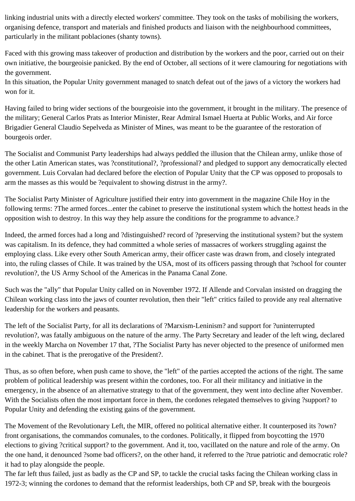linking industrial units with a directly elected workers' committee. They took on the tasks of mobilising the workers, organising defence, transport and materials and finished products and liaison with the neighbourhood committees, particularly in the militant poblaciones (shanty towns).

Faced with this growing mass takeover of production and distribution by the workers and the poor, carried out on their own initiative, the bourgeoisie panicked. By the end of October, all sections of it were clamouring for negotiations with the government.

In this situation, the Popular Unity government managed to snatch defeat out of the jaws of a victory the workers had won for it.

Having failed to bring wider sections of the bourgeoisie into the government, it brought in the military. The presence of the military; General Carlos Prats as Interior Minister, Rear Admiral Ismael Huerta at Public Works, and Air force Brigadier General Claudio Sepelveda as Minister of Mines, was meant to be the guarantee of the restoration of bourgeois order.

The Socialist and Communist Party leaderships had always peddled the illusion that the Chilean army, unlike those of the other Latin American states, was ?constitutional?, ?professional? and pledged to support any democratically elected government. Luis Corvalan had declared before the election of Popular Unity that the CP was opposed to proposals to arm the masses as this would be ?equivalent to showing distrust in the army?.

The Socialist Party Minister of Agriculture justified their entry into government in the magazine Chile Hoy in the following terms: ?The armed forces...enter the cabinet to preserve the institutional system which the hottest heads in the opposition wish to destroy. In this way they help assure the conditions for the programme to advance.?

Indeed, the armed forces had a long and ?distinguished? record of ?preserving the institutional system? but the system was capitalism. In its defence, they had committed a whole series of massacres of workers struggling against the employing class. Like every other South American army, their officer caste was drawn from, and closely integrated into, the ruling classes of Chile. It was trained by the USA, most of its officers passing through that ?school for counter revolution?, the US Army School of the Americas in the Panama Canal Zone.

Such was the "ally" that Popular Unity called on in November 1972. If Allende and Corvalan insisted on dragging the Chilean working class into the jaws of counter revolution, then their "left" critics failed to provide any real alternative leadership for the workers and peasants.

The left of the Socialist Party, for all its declarations of ?Marxism-Leninism? and support for ?uninterrupted revolution?, was fatally ambiguous on the nature of the army. The Party Secretary and leader of the left wing, declared in the weekly Marcha on November 17 that, ?The Socialist Party has never objected to the presence of uniformed men in the cabinet. That is the prerogative of the President?.

Thus, as so often before, when push came to shove, the "left" of the parties accepted the actions of the right. The same problem of political leadership was present within the cordones, too. For all their militancy and initiative in the emergency, in the absence of an alternative strategy to that of the government, they went into decline after November. With the Socialists often the most important force in them, the cordones relegated themselves to giving ?support? to Popular Unity and defending the existing gains of the government.

The Movement of the Revolutionary Left, the MIR, offered no political alternative either. It counterposed its ?own? front organisations, the commandos comunales, to the cordones. Politically, it flipped from boycotting the 1970 elections to giving ?critical support? to the government. And it, too, vacillated on the nature and role of the army. On the one hand, it denounced ?some bad officers?, on the other hand, it referred to the ?true patriotic and democratic role? it had to play alongside the people.

The far left thus failed, just as badly as the CP and SP, to tackle the crucial tasks facing the Chilean working class in 1972-3; winning the cordones to demand that the reformist leaderships, both CP and SP, break with the bourgeois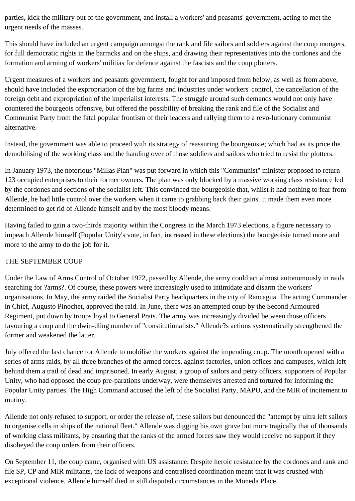parties, kick the military out of the government, and install a workers' and peasants' government, acting to met the urgent needs of the masses.

This should have included an urgent campaign amongst the rank and file sailors and soldiers against the coup mongers, for full democratic rights in the barracks and on the ships, and drawing their representatives into the cordones and the formation and arming of workers' militias for defence against the fascists and the coup plotters.

Urgent measures of a workers and peasants government, fought for and imposed from below, as well as from above, should have included the expropriation of the big farms and industries under workers' control, the cancellation of the foreign debt and expropriation of the imperialist interests. The struggle around such demands would not only have countered the bourgeois offensive, but offered the possibility of breaking the rank and file of the Socialist and Communist Party from the fatal popular frontism of their leaders and rallying them to a revo-lutionary communist alternative.

Instead, the government was able to proceed with its strategy of reassuring the bourgeoisie; which had as its price the demobilising of the working class and the handing over of those soldiers and sailors who tried to resist the plotters.

In January 1973, the notorious "Millas Plan" was put forward in which this "Communist" minister proposed to return 123 occupied enterprises to their former owners. The plan was only blocked by a massive working class resistance led by the cordones and sections of the socialist left. This convinced the bourgeoisie that, whilst it had nothing to fear from Allende, he had little control over the workers when it came to grabbing back their gains. It made them even more determined to get rid of Allende himself and by the most bloody means.

Having failed to gain a two-thirds majority within the Congress in the March 1973 elections, a figure necessary to impeach Allende himself (Popular Unity's vote, in fact, increased in these elections) the bourgeoisie turned more and more to the army to do the job for it.

#### THE SEPTEMBER COUP

Under the Law of Arms Control of October 1972, passed by Allende, the army could act almost autonomously in raids searching for ?arms?. Of course, these powers were increasingly used to intimidate and disarm the workers' organisations. In May, the army raided the Socialist Party headquarters in the city of Rancagua. The acting Commander in Chief, Augusto Pinochet, approved the raid. In June, there was an attempted coup by the Second Armoured Regiment, put down by troops loyal to General Prats. The army was increasingly divided between those officers favouring a coup and the dwin-dling number of "constitutionalists." Allende?s actions systematically strengthened the former and weakened the latter.

July offered the last chance for Allende to mobilise the workers against the impending coup. The month opened with a series of arms raids, by all three branches of the armed forces, against factories, union offices and campuses, which left behind them a trail of dead and imprisoned. In early August, a group of sailors and petty officers, supporters of Popular Unity, who had opposed the coup pre-parations underway, were themselves arrested and tortured for informing the Popular Unity parties. The High Command accused the left of the Socialist Party, MAPU, and the MIR of incitement to mutiny.

Allende not only refused to support, or order the release of, these sailors but denounced the "attempt by ultra left sailors to organise cells in ships of the national fleet." Allende was digging his own grave but more tragically that of thousands of working class militants, by ensuring that the ranks of the armed forces saw they would receive no support if they disobeyed the coup orders from their officers.

On September 11, the coup came, organised with US assistance. Despite heroic resistance by the cordones and rank and file SP, CP and MIR militants, the lack of weapons and centralised coordination meant that it was crushed with exceptional violence. Allende himself died in still disputed circumstances in the Moneda Place.